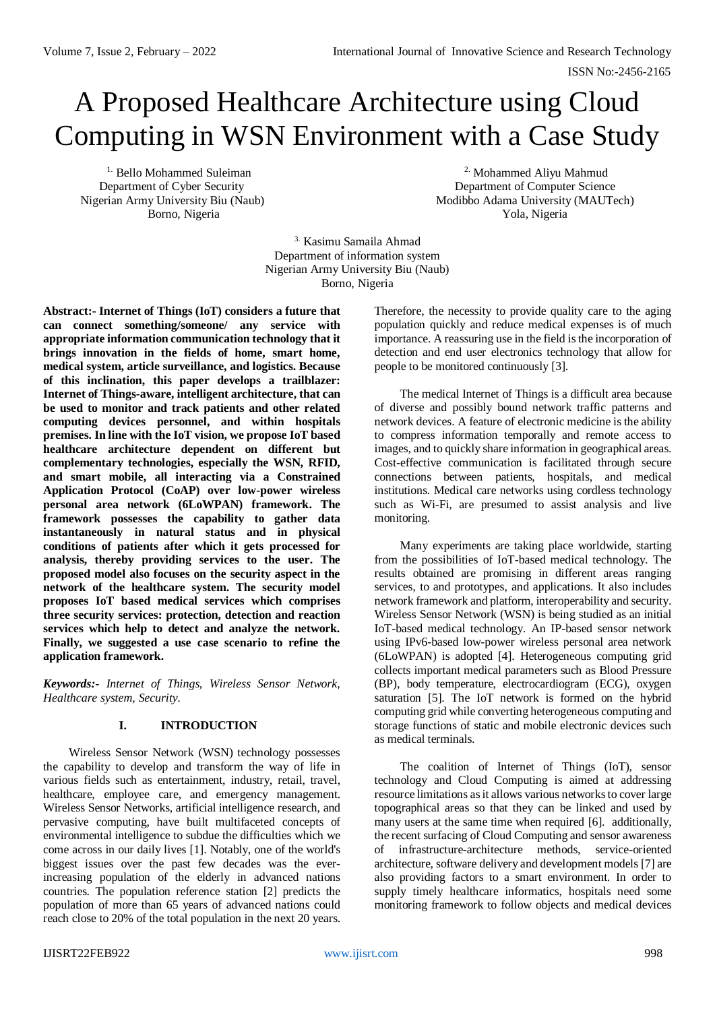# A Proposed Healthcare Architecture using Cloud Computing in WSN Environment with a Case Study

<sup>1.</sup> Bello Mohammed Suleiman

2. Mohammed Aliyu Mahmud Department of Cyber Security Department of Computer Science Nigerian Army University Biu (Naub) Modibbo Adama University (MAUTech) Borno, Nigeria Yola, Nigeria

> 3. Kasimu Samaila Ahmad Department of information system Nigerian Army University Biu (Naub) Borno, Nigeria

**Abstract:- Internet of Things (IoT) considers a future that can connect something/someone/ any service with appropriate information communication technology that it brings innovation in the fields of home, smart home, medical system, article surveillance, and logistics. Because of this inclination, this paper develops a trailblazer: Internet of Things-aware, intelligent architecture, that can be used to monitor and track patients and other related computing devices personnel, and within hospitals premises. In line with the IoT vision, we propose IoT based healthcare architecture dependent on different but complementary technologies, especially the WSN, RFID, and smart mobile, all interacting via a Constrained Application Protocol (CoAP) over low-power wireless personal area network (6LoWPAN) framework. The framework possesses the capability to gather data instantaneously in natural status and in physical conditions of patients after which it gets processed for analysis, thereby providing services to the user. The proposed model also focuses on the security aspect in the network of the healthcare system. The security model proposes IoT based medical services which comprises three security services: protection, detection and reaction services which help to detect and analyze the network. Finally, we suggested a use case scenario to refine the application framework.**

*Keywords:- Internet of Things, Wireless Sensor Network, Healthcare system, Security.*

# **I. INTRODUCTION**

Wireless Sensor Network (WSN) technology possesses the capability to develop and transform the way of life in various fields such as entertainment, industry, retail, travel, healthcare, employee care, and emergency management. Wireless Sensor Networks, artificial intelligence research, and pervasive computing, have built multifaceted concepts of environmental intelligence to subdue the difficulties which we come across in our daily lives [1]. Notably, one of the world's biggest issues over the past few decades was the everincreasing population of the elderly in advanced nations countries. The population reference station [2] predicts the population of more than 65 years of advanced nations could reach close to 20% of the total population in the next 20 years. Therefore, the necessity to provide quality care to the aging population quickly and reduce medical expenses is of much importance. A reassuring use in the field is the incorporation of detection and end user electronics technology that allow for people to be monitored continuously [3].

The medical Internet of Things is a difficult area because of diverse and possibly bound network traffic patterns and network devices. A feature of electronic medicine is the ability to compress information temporally and remote access to images, and to quickly share information in geographical areas. Cost-effective communication is facilitated through secure connections between patients, hospitals, and medical institutions. Medical care networks using cordless technology such as Wi-Fi, are presumed to assist analysis and live monitoring.

Many experiments are taking place worldwide, starting from the possibilities of IoT-based medical technology. The results obtained are promising in different areas ranging services, to and prototypes, and applications. It also includes network framework and platform, interoperability and security. Wireless Sensor Network (WSN) is being studied as an initial IoT-based medical technology. An IP-based sensor network using IPv6-based low-power wireless personal area network (6LoWPAN) is adopted [4]. Heterogeneous computing grid collects important medical parameters such as Blood Pressure (BP), body temperature, electrocardiogram (ECG), oxygen saturation [5]. The IoT network is formed on the hybrid computing grid while converting heterogeneous computing and storage functions of static and mobile electronic devices such as medical terminals.

The coalition of Internet of Things (IoT), sensor technology and Cloud Computing is aimed at addressing resource limitations as it allows various networks to cover large topographical areas so that they can be linked and used by many users at the same time when required [6]. additionally, the recent surfacing of Cloud Computing and sensor awareness of infrastructure-architecture methods, service-oriented architecture, software delivery and development models [7] are also providing factors to a smart environment. In order to supply timely healthcare informatics, hospitals need some monitoring framework to follow objects and medical devices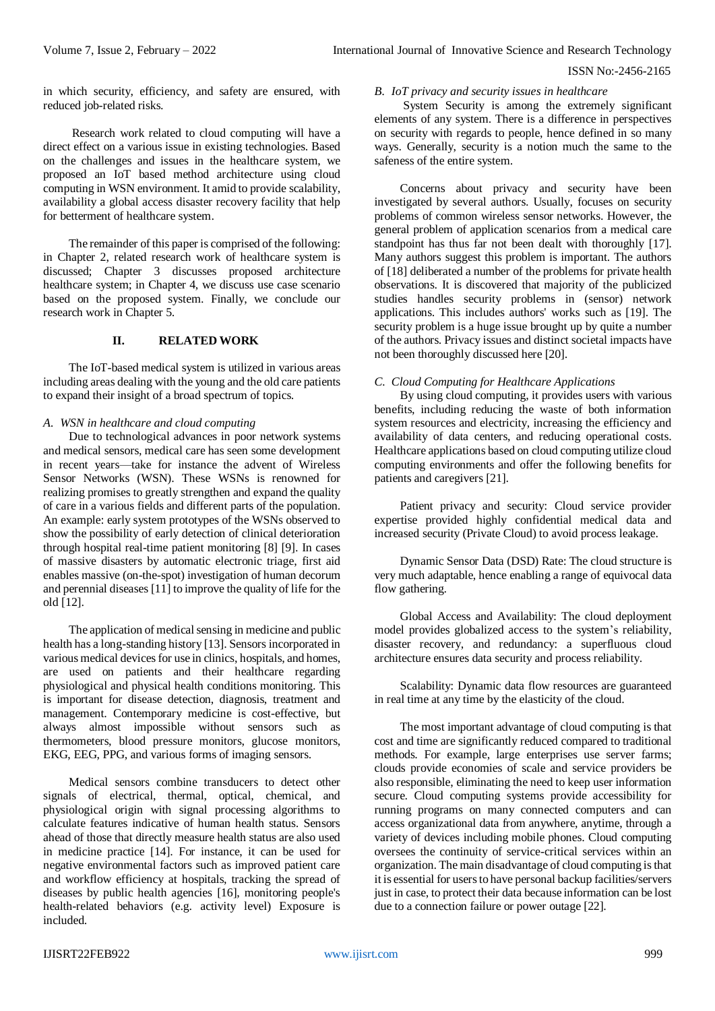in which security, efficiency, and safety are ensured, with reduced job-related risks.

Research work related to cloud computing will have a direct effect on a various issue in existing technologies. Based on the challenges and issues in the healthcare system, we proposed an IoT based method architecture using cloud computing in WSN environment. It amid to provide scalability, availability a global access disaster recovery facility that help for betterment of healthcare system.

The remainder of this paper is comprised of the following: in Chapter 2, related research work of healthcare system is discussed; Chapter 3 discusses proposed architecture healthcare system; in Chapter 4, we discuss use case scenario based on the proposed system. Finally, we conclude our research work in Chapter 5.

## **II. RELATED WORK**

The IoT-based medical system is utilized in various areas including areas dealing with the young and the old care patients to expand their insight of a broad spectrum of topics.

## *A. WSN in healthcare and cloud computing*

Due to technological advances in poor network systems and medical sensors, medical care has seen some development in recent years—take for instance the advent of Wireless Sensor Networks (WSN). These WSNs is renowned for realizing promises to greatly strengthen and expand the quality of care in a various fields and different parts of the population. An example: early system prototypes of the WSNs observed to show the possibility of early detection of clinical deterioration through hospital real-time patient monitoring [8] [9]. In cases of massive disasters by automatic electronic triage, first aid enables massive (on-the-spot) investigation of human decorum and perennial diseases [11] to improve the quality of life for the old [12].

The application of medical sensing in medicine and public health has a long-standing history [13]. Sensors incorporated in various medical devices for use in clinics, hospitals, and homes, are used on patients and their healthcare regarding physiological and physical health conditions monitoring. This is important for disease detection, diagnosis, treatment and management. Contemporary medicine is cost-effective, but always almost impossible without sensors such as thermometers, blood pressure monitors, glucose monitors, EKG, EEG, PPG, and various forms of imaging sensors.

Medical sensors combine transducers to detect other signals of electrical, thermal, optical, chemical, and physiological origin with signal processing algorithms to calculate features indicative of human health status. Sensors ahead of those that directly measure health status are also used in medicine practice [14]. For instance, it can be used for negative environmental factors such as improved patient care and workflow efficiency at hospitals, tracking the spread of diseases by public health agencies [16], monitoring people's health-related behaviors (e.g. activity level) Exposure is included.

## *B. IoT privacy and security issues in healthcare*

System Security is among the extremely significant elements of any system. There is a difference in perspectives on security with regards to people, hence defined in so many ways. Generally, security is a notion much the same to the safeness of the entire system.

Concerns about privacy and security have been investigated by several authors. Usually, focuses on security problems of common wireless sensor networks. However, the general problem of application scenarios from a medical care standpoint has thus far not been dealt with thoroughly [17]. Many authors suggest this problem is important. The authors of [18] deliberated a number of the problems for private health observations. It is discovered that majority of the publicized studies handles security problems in (sensor) network applications. This includes authors' works such as [19]. The security problem is a huge issue brought up by quite a number of the authors. Privacy issues and distinct societal impacts have not been thoroughly discussed here [20].

# *C. Cloud Computing for Healthcare Applications*

By using cloud computing, it provides users with various benefits, including reducing the waste of both information system resources and electricity, increasing the efficiency and availability of data centers, and reducing operational costs. Healthcare applications based on cloud computing utilize cloud computing environments and offer the following benefits for patients and caregivers [21].

Patient privacy and security: Cloud service provider expertise provided highly confidential medical data and increased security (Private Cloud) to avoid process leakage.

Dynamic Sensor Data (DSD) Rate: The cloud structure is very much adaptable, hence enabling a range of equivocal data flow gathering.

Global Access and Availability: The cloud deployment model provides globalized access to the system's reliability, disaster recovery, and redundancy: a superfluous cloud architecture ensures data security and process reliability.

Scalability: Dynamic data flow resources are guaranteed in real time at any time by the elasticity of the cloud.

The most important advantage of cloud computing is that cost and time are significantly reduced compared to traditional methods. For example, large enterprises use server farms; clouds provide economies of scale and service providers be also responsible, eliminating the need to keep user information secure. Cloud computing systems provide accessibility for running programs on many connected computers and can access organizational data from anywhere, anytime, through a variety of devices including mobile phones. Cloud computing oversees the continuity of service-critical services within an organization. The main disadvantage of cloud computing is that it is essential for users to have personal backup facilities/servers just in case, to protect their data because information can be lost due to a connection failure or power outage [22].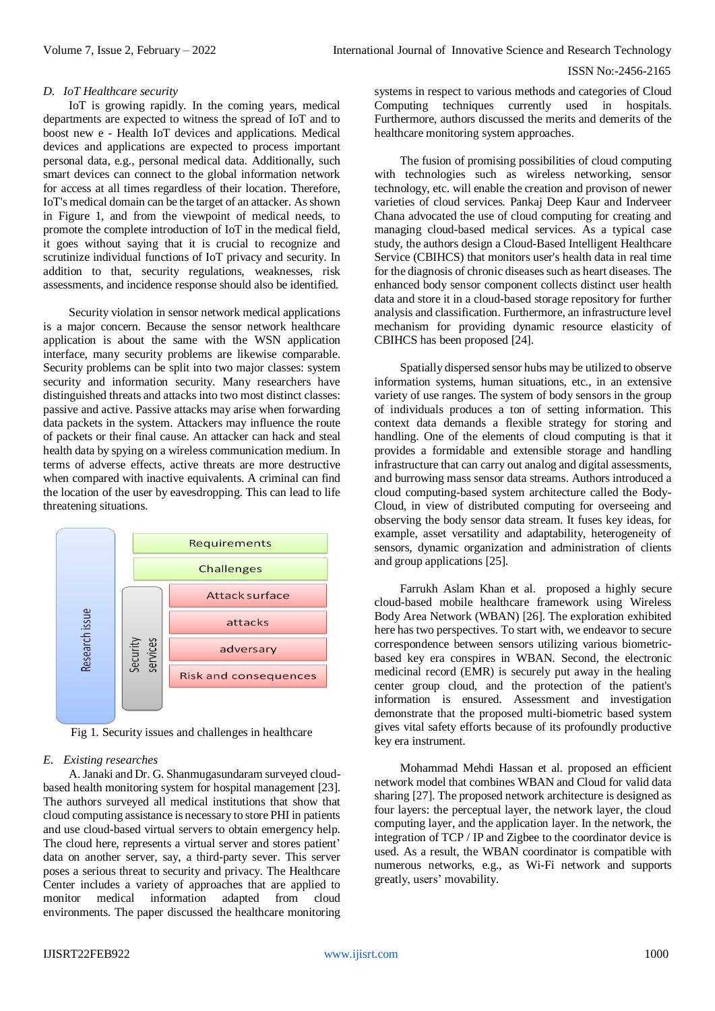#### *D. IoT Healthcare security*

IoT is growing rapidly. In the coming years, medical departments are expected to witness the spread of IoT and to boost new e - Health IoT devices and applications. Medical devices and applications are expected to process important personal data, e.g., personal medical data. Additionally, such smart devices can connect to the global information network for access at all times regardless of their location. Therefore, IoT's medical domain can be the target of an attacker. As shown in Figure 1, and from the viewpoint of medical needs, to promote the complete introduction of IoT in the medical field, it goes without saying that it is crucial to recognize and scrutinize individual functions of IoT privacy and security. In addition to that, security regulations, weaknesses, risk assessments, and incidence response should also be identified.

Security violation in sensor network medical applications is a major concern. Because the sensor network healthcare application is about the same with the WSN application interface, many security problems are likewise comparable. Security problems can be split into two major classes: system security and information security. Many researchers have distinguished threats and attacks into two most distinct classes: passive and active. Passive attacks may arise when forwarding data packets in the system. Attackers may influence the route of packets or their final cause. An attacker can hack and steal health data by spying on a wireless communication medium. In terms of adverse effects, active threats are more destructive when compared with inactive equivalents. A criminal can find the location of the user by eavesdropping. This can lead to life threatening situations.



Fig 1. Security issues and challenges in healthcare

## *E. Existing researches*

A. Janaki and Dr. G. Shanmugasundaram surveyed cloudbased health monitoring system for hospital management [23]. The authors surveyed all medical institutions that show that cloud computing assistance is necessary to store PHI in patients and use cloud-based virtual servers to obtain emergency help. The cloud here, represents a virtual server and stores patient' data on another server, say, a third-party sever. This server poses a serious threat to security and privacy. The Healthcare Center includes a variety of approaches that are applied to monitor medical information adapted from cloud environments. The paper discussed the healthcare monitoring systems in respect to various methods and categories of Cloud Computing techniques currently used in hospitals. Furthermore, authors discussed the merits and demerits of the healthcare monitoring system approaches.

The fusion of promising possibilities of cloud computing with technologies such as wireless networking, sensor technology, etc. will enable the creation and provison of newer varieties of cloud services. Pankaj Deep Kaur and Inderveer Chana advocated the use of cloud computing for creating and managing cloud-based medical services. As a typical case study, the authors design a Cloud-Based Intelligent Healthcare Service (CBIHCS) that monitors user's health data in real time for the diagnosis of chronic diseases such as heart diseases. The enhanced body sensor component collects distinct user health data and store it in a cloud-based storage repository for further analysis and classification. Furthermore, an infrastructure level mechanism for providing dynamic resource elasticity of CBIHCS has been proposed [24].

Spatially dispersed sensor hubs may be utilized to observe information systems, human situations, etc., in an extensive variety of use ranges. The system of body sensors in the group of individuals produces a ton of setting information. This context data demands a flexible strategy for storing and handling. One of the elements of cloud computing is that it provides a formidable and extensible storage and handling infrastructure that can carry out analog and digital assessments, and burrowing mass sensor data streams. Authors introduced a cloud computing-based system architecture called the Body-Cloud, in view of distributed computing for overseeing and observing the body sensor data stream. It fuses key ideas, for example, asset versatility and adaptability, heterogeneity of sensors, dynamic organization and administration of clients and group applications [25].

Farrukh Aslam Khan et al. proposed a highly secure cloud-based mobile healthcare framework using Wireless Body Area Network (WBAN) [26]. The exploration exhibited here has two perspectives. To start with, we endeavor to secure correspondence between sensors utilizing various biometricbased key era conspires in WBAN. Second, the electronic medicinal record (EMR) is securely put away in the healing center group cloud, and the protection of the patient's information is ensured. Assessment and investigation demonstrate that the proposed multi-biometric based system gives vital safety efforts because of its profoundly productive key era instrument.

Mohammad Mehdi Hassan et al. proposed an efficient network model that combines WBAN and Cloud for valid data sharing [27]. The proposed network architecture is designed as four layers: the perceptual layer, the network layer, the cloud computing layer, and the application layer. In the network, the integration of TCP / IP and Zigbee to the coordinator device is used. As a result, the WBAN coordinator is compatible with numerous networks, e.g., as Wi-Fi network and supports greatly, users' movability.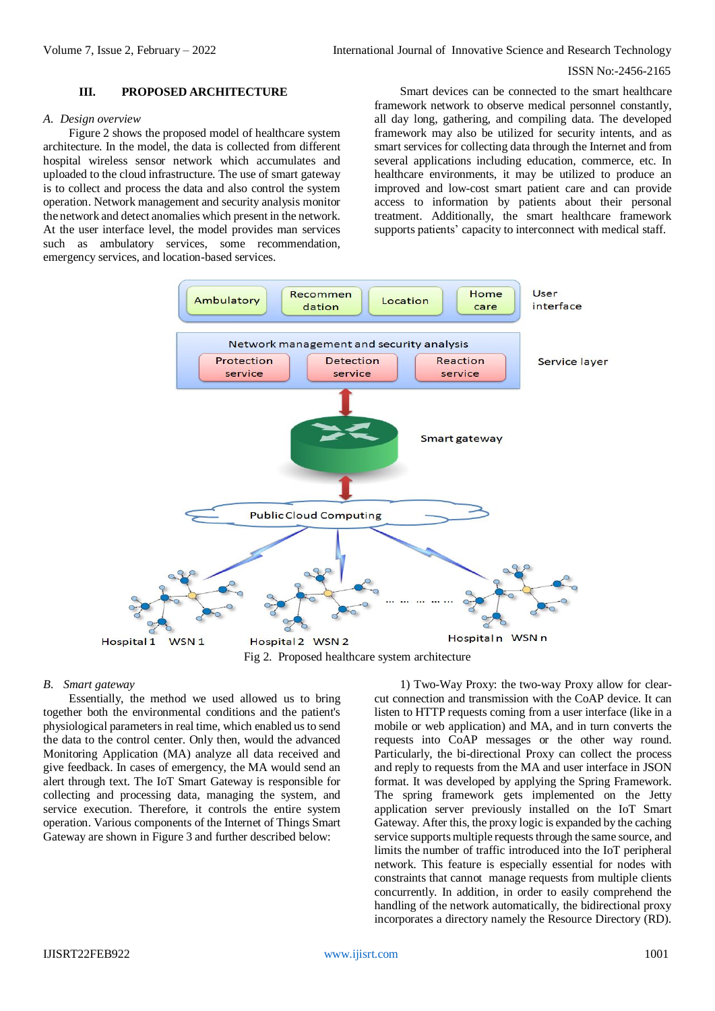#### **III. PROPOSED ARCHITECTURE**

#### *A. Design overview*

Figure 2 shows the proposed model of healthcare system architecture. In the model, the data is collected from different hospital wireless sensor network which accumulates and uploaded to the cloud infrastructure. The use of smart gateway is to collect and process the data and also control the system operation. Network management and security analysis monitor the network and detect anomalies which present in the network. At the user interface level, the model provides man services such as ambulatory services, some recommendation, emergency services, and location-based services.

Smart devices can be connected to the smart healthcare framework network to observe medical personnel constantly, all day long, gathering, and compiling data. The developed framework may also be utilized for security intents, and as smart services for collecting data through the Internet and from several applications including education, commerce, etc. In healthcare environments, it may be utilized to produce an improved and low-cost smart patient care and can provide access to information by patients about their personal treatment. Additionally, the smart healthcare framework supports patients' capacity to interconnect with medical staff.



#### *B. Smart gateway*

Essentially, the method we used allowed us to bring together both the environmental conditions and the patient's physiological parameters in real time, which enabled usto send the data to the control center. Only then, would the advanced Monitoring Application (MA) analyze all data received and give feedback. In cases of emergency, the MA would send an alert through text. The IoT Smart Gateway is responsible for collecting and processing data, managing the system, and service execution. Therefore, it controls the entire system operation. Various components of the Internet of Things Smart Gateway are shown in Figure 3 and further described below:

1) Two-Way Proxy: the two-way Proxy allow for clearcut connection and transmission with the CoAP device. It can listen to HTTP requests coming from a user interface (like in a mobile or web application) and MA, and in turn converts the requests into CoAP messages or the other way round. Particularly, the bi-directional Proxy can collect the process and reply to requests from the MA and user interface in JSON format. It was developed by applying the Spring Framework. The spring framework gets implemented on the Jetty application server previously installed on the IoT Smart Gateway. After this, the proxy logic is expanded by the caching service supports multiple requests through the same source, and limits the number of traffic introduced into the IoT peripheral network. This feature is especially essential for nodes with constraints that cannot manage requests from multiple clients concurrently. In addition, in order to easily comprehend the handling of the network automatically, the bidirectional proxy incorporates a directory namely the Resource Directory (RD).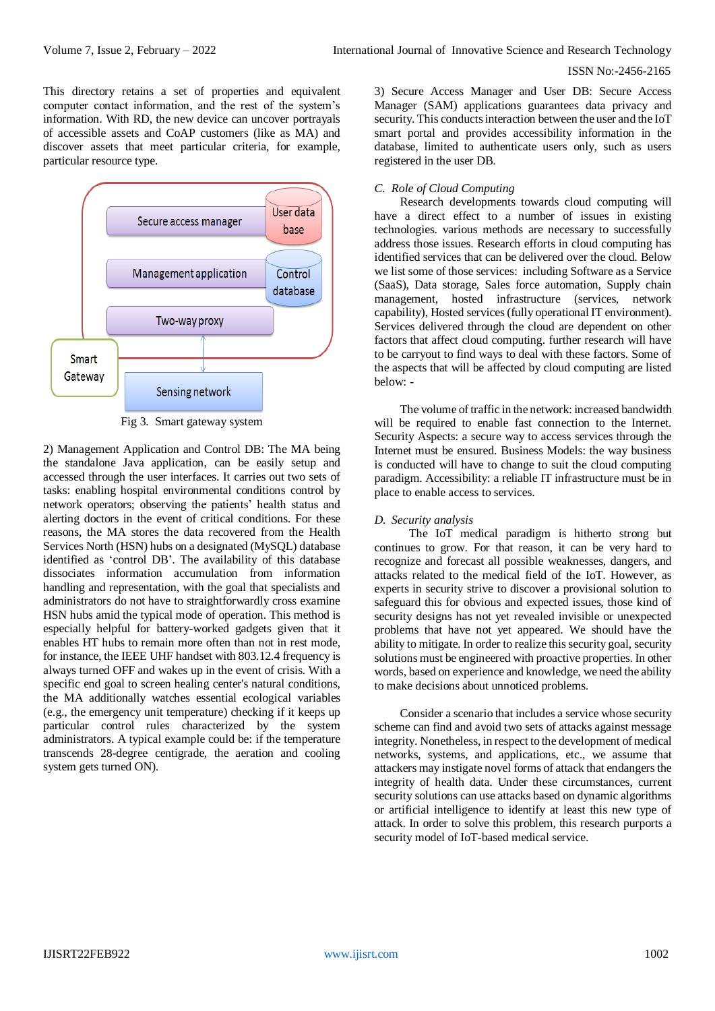This directory retains a set of properties and equivalent computer contact information, and the rest of the system's information. With RD, the new device can uncover portrayals of accessible assets and CoAP customers (like as MA) and discover assets that meet particular criteria, for example, particular resource type.



Fig 3. Smart gateway system

2) Management Application and Control DB: The MA being the standalone Java application, can be easily setup and accessed through the user interfaces. It carries out two sets of tasks: enabling hospital environmental conditions control by network operators; observing the patients' health status and alerting doctors in the event of critical conditions. For these reasons, the MA stores the data recovered from the Health Services North (HSN) hubs on a designated (MySQL) database identified as 'control DB'. The availability of this database dissociates information accumulation from information handling and representation, with the goal that specialists and administrators do not have to straightforwardly cross examine HSN hubs amid the typical mode of operation. This method is especially helpful for battery-worked gadgets given that it enables HT hubs to remain more often than not in rest mode, for instance, the IEEE UHF handset with 803.12.4 frequency is always turned OFF and wakes up in the event of crisis. With a specific end goal to screen healing center's natural conditions, the MA additionally watches essential ecological variables (e.g., the emergency unit temperature) checking if it keeps up particular control rules characterized by the system administrators. A typical example could be: if the temperature transcends 28-degree centigrade, the aeration and cooling system gets turned ON).

3) Secure Access Manager and User DB: Secure Access Manager (SAM) applications guarantees data privacy and security. This conducts interaction between the user and the IoT smart portal and provides accessibility information in the database, limited to authenticate users only, such as users registered in the user DB.

## *C. Role of Cloud Computing*

Research developments towards cloud computing will have a direct effect to a number of issues in existing technologies. various methods are necessary to successfully address those issues. Research efforts in cloud computing has identified services that can be delivered over the cloud. Below we list some of those services: including Software as a Service (SaaS), Data storage, Sales force automation, Supply chain management, hosted infrastructure (services, network capability), Hosted services (fully operational IT environment). Services delivered through the cloud are dependent on other factors that affect cloud computing. further research will have to be carryout to find ways to deal with these factors. Some of the aspects that will be affected by cloud computing are listed below: -

The volume of traffic in the network: increased bandwidth will be required to enable fast connection to the Internet. Security Aspects: a secure way to access services through the Internet must be ensured. Business Models: the way business is conducted will have to change to suit the cloud computing paradigm. Accessibility: a reliable IT infrastructure must be in place to enable access to services.

## *D. Security analysis*

 The IoT medical paradigm is hitherto strong but continues to grow. For that reason, it can be very hard to recognize and forecast all possible weaknesses, dangers, and attacks related to the medical field of the IoT. However, as experts in security strive to discover a provisional solution to safeguard this for obvious and expected issues, those kind of security designs has not yet revealed invisible or unexpected problems that have not yet appeared. We should have the ability to mitigate. In order to realize this security goal, security solutions must be engineered with proactive properties. In other words, based on experience and knowledge, we need the ability to make decisions about unnoticed problems.

Consider a scenario that includes a service whose security scheme can find and avoid two sets of attacks against message integrity. Nonetheless, in respect to the development of medical networks, systems, and applications, etc., we assume that attackers may instigate novel forms of attack that endangers the integrity of health data. Under these circumstances, current security solutions can use attacks based on dynamic algorithms or artificial intelligence to identify at least this new type of attack. In order to solve this problem, this research purports a security model of IoT-based medical service.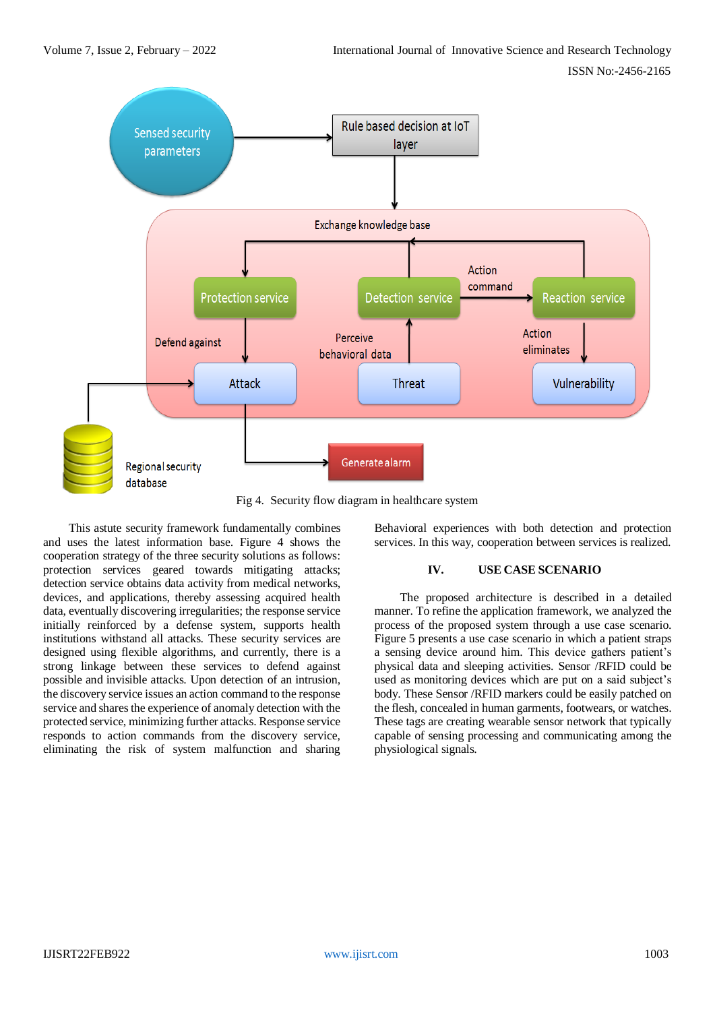

Fig 4. Security flow diagram in healthcare system

This astute security framework fundamentally combines and uses the latest information base. Figure 4 shows the cooperation strategy of the three security solutions as follows: protection services geared towards mitigating attacks; detection service obtains data activity from medical networks, devices, and applications, thereby assessing acquired health data, eventually discovering irregularities; the response service initially reinforced by a defense system, supports health institutions withstand all attacks. These security services are designed using flexible algorithms, and currently, there is a strong linkage between these services to defend against possible and invisible attacks. Upon detection of an intrusion, the discovery service issues an action command to the response service and shares the experience of anomaly detection with the protected service, minimizing further attacks. Response service responds to action commands from the discovery service, eliminating the risk of system malfunction and sharing Behavioral experiences with both detection and protection services. In this way, cooperation between services is realized.

## **IV. USE CASE SCENARIO**

The proposed architecture is described in a detailed manner. To refine the application framework, we analyzed the process of the proposed system through a use case scenario. Figure 5 presents a use case scenario in which a patient straps a sensing device around him. This device gathers patient's physical data and sleeping activities. Sensor /RFID could be used as monitoring devices which are put on a said subject's body. These Sensor /RFID markers could be easily patched on the flesh, concealed in human garments, footwears, or watches. These tags are creating wearable sensor network that typically capable of sensing processing and communicating among the physiological signals.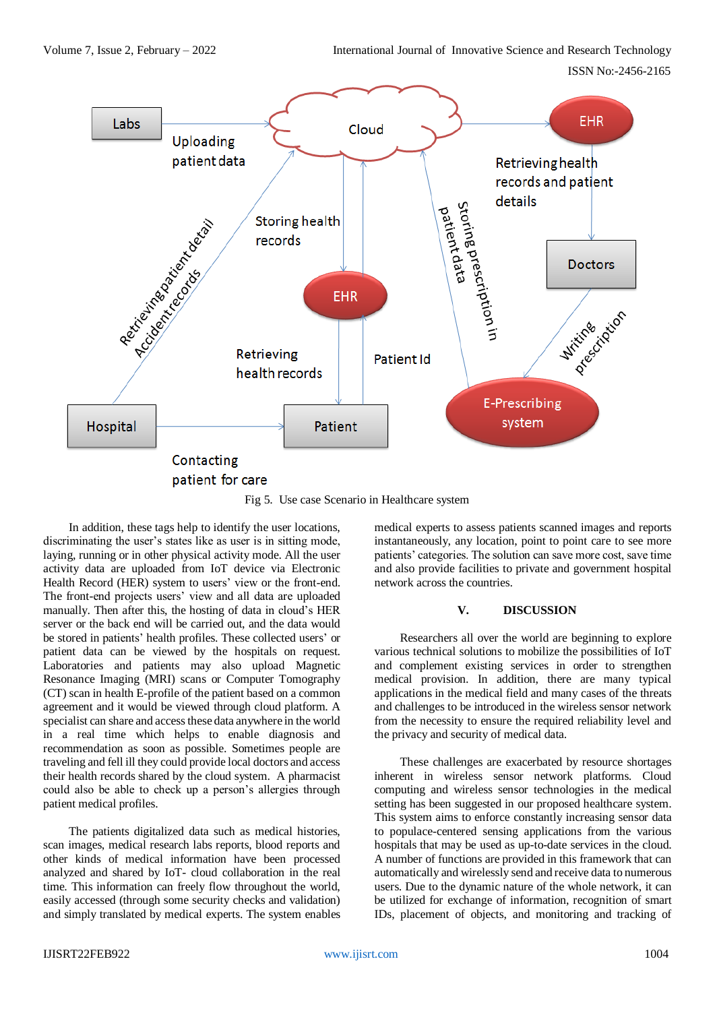Volume 7, Issue 2, February – 2022 International Journal of Innovative Science and Research Technology

ISSN No:-2456-2165



Fig 5. Use case Scenario in Healthcare system

In addition, these tags help to identify the user locations, discriminating the user's states like as user is in sitting mode, laying, running or in other physical activity mode. All the user activity data are uploaded from IoT device via Electronic Health Record (HER) system to users' view or the front-end. The front-end projects users' view and all data are uploaded manually. Then after this, the hosting of data in cloud's HER server or the back end will be carried out, and the data would be stored in patients' health profiles. These collected users' or patient data can be viewed by the hospitals on request. Laboratories and patients may also upload Magnetic Resonance Imaging (MRI) scans or Computer Tomography (CT) scan in health E-profile of the patient based on a common agreement and it would be viewed through cloud platform. A specialist can share and access these data anywhere in the world in a real time which helps to enable diagnosis and recommendation as soon as possible. Sometimes people are traveling and fell ill they could provide local doctors and access their health records shared by the cloud system. A pharmacist could also be able to check up a person's allergies through patient medical profiles.

The patients digitalized data such as medical histories, scan images, medical research labs reports, blood reports and other kinds of medical information have been processed analyzed and shared by IoT- cloud collaboration in the real time. This information can freely flow throughout the world, easily accessed (through some security checks and validation) and simply translated by medical experts. The system enables medical experts to assess patients scanned images and reports instantaneously, any location, point to point care to see more patients' categories. The solution can save more cost, save time and also provide facilities to private and government hospital network across the countries.

# **V. DISCUSSION**

Researchers all over the world are beginning to explore various technical solutions to mobilize the possibilities of IoT and complement existing services in order to strengthen medical provision. In addition, there are many typical applications in the medical field and many cases of the threats and challenges to be introduced in the wireless sensor network from the necessity to ensure the required reliability level and the privacy and security of medical data.

These challenges are exacerbated by resource shortages inherent in wireless sensor network platforms. Cloud computing and wireless sensor technologies in the medical setting has been suggested in our proposed healthcare system. This system aims to enforce constantly increasing sensor data to populace-centered sensing applications from the various hospitals that may be used as up-to-date services in the cloud. A number of functions are provided in this framework that can automatically and wirelessly send and receive data to numerous users. Due to the dynamic nature of the whole network, it can be utilized for exchange of information, recognition of smart IDs, placement of objects, and monitoring and tracking of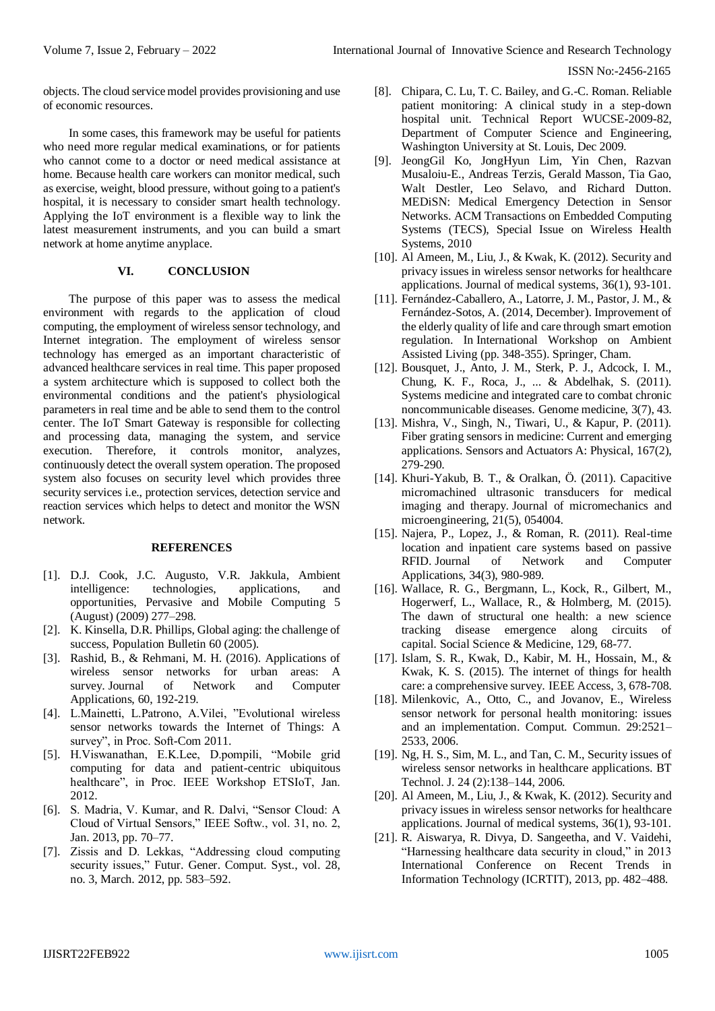objects. The cloud service model provides provisioning and use of economic resources.

In some cases, this framework may be useful for patients who need more regular medical examinations, or for patients who cannot come to a doctor or need medical assistance at home. Because health care workers can monitor medical, such as exercise, weight, blood pressure, without going to a patient's hospital, it is necessary to consider smart health technology. Applying the IoT environment is a flexible way to link the latest measurement instruments, and you can build a smart network at home anytime anyplace.

# **VI. CONCLUSION**

The purpose of this paper was to assess the medical environment with regards to the application of cloud computing, the employment of wireless sensor technology, and Internet integration. The employment of wireless sensor technology has emerged as an important characteristic of advanced healthcare services in real time. This paper proposed a system architecture which is supposed to collect both the environmental conditions and the patient's physiological parameters in real time and be able to send them to the control center. The IoT Smart Gateway is responsible for collecting and processing data, managing the system, and service execution. Therefore, it controls monitor, analyzes, continuously detect the overall system operation. The proposed system also focuses on security level which provides three security services i.e., protection services, detection service and reaction services which helps to detect and monitor the WSN network.

## **REFERENCES**

- [1]. D.J. Cook, J.C. Augusto, V.R. Jakkula, Ambient intelligence: technologies, applications, and opportunities, Pervasive and Mobile Computing 5 (August) (2009) 277–298.
- [2]. K. Kinsella, D.R. Phillips, Global aging: the challenge of success, Population Bulletin 60 (2005).
- [3]. Rashid, B., & Rehmani, M. H. (2016). Applications of wireless sensor networks for urban areas: A survey. Journal of Network and Computer Applications, 60, 192-219.
- [4]. L.Mainetti, L.Patrono, A.Vilei, "Evolutional wireless sensor networks towards the Internet of Things: A survey", in Proc. Soft-Com 2011.
- [5]. H.Viswanathan, E.K.Lee, D.pompili, "Mobile grid computing for data and patient-centric ubiquitous healthcare", in Proc. IEEE Workshop ETSIoT, Jan. 2012.
- [6]. S. Madria, V. Kumar, and R. Dalvi, "Sensor Cloud: A Cloud of Virtual Sensors," IEEE Softw., vol. 31, no. 2, Jan. 2013, pp. 70–77.
- [7]. Zissis and D. Lekkas, "Addressing cloud computing security issues," Futur. Gener. Comput. Syst., vol. 28, no. 3, March. 2012, pp. 583–592.
- [8]. Chipara, C. Lu, T. C. Bailey, and G.-C. Roman. Reliable patient monitoring: A clinical study in a step-down hospital unit. Technical Report WUCSE-2009-82, Department of Computer Science and Engineering, Washington University at St. Louis, Dec 2009.
- [9]. JeongGil Ko, JongHyun Lim, Yin Chen, Razvan Musaloiu-E., Andreas Terzis, Gerald Masson, Tia Gao, Walt Destler, Leo Selavo, and Richard Dutton. MEDiSN: Medical Emergency Detection in Sensor Networks. ACM Transactions on Embedded Computing Systems (TECS), Special Issue on Wireless Health Systems, 2010
- [10]. Al Ameen, M., Liu, J., & Kwak, K. (2012). Security and privacy issues in wireless sensor networks for healthcare applications. Journal of medical systems, 36(1), 93-101.
- [11]. Fernández-Caballero, A., Latorre, J. M., Pastor, J. M., & Fernández-Sotos, A. (2014, December). Improvement of the elderly quality of life and care through smart emotion regulation. In International Workshop on Ambient Assisted Living (pp. 348-355). Springer, Cham.
- [12]. Bousquet, J., Anto, J. M., Sterk, P. J., Adcock, I. M., Chung, K. F., Roca, J., ... & Abdelhak, S. (2011). Systems medicine and integrated care to combat chronic noncommunicable diseases. Genome medicine, 3(7), 43.
- [13]. Mishra, V., Singh, N., Tiwari, U., & Kapur, P. (2011). Fiber grating sensors in medicine: Current and emerging applications. Sensors and Actuators A: Physical, 167(2), 279-290.
- [14]. Khuri-Yakub, B. T., & Oralkan, Ö. (2011). Capacitive micromachined ultrasonic transducers for medical imaging and therapy. Journal of micromechanics and microengineering, 21(5), 054004.
- [15]. Najera, P., Lopez, J., & Roman, R. (2011). Real-time location and inpatient care systems based on passive RFID. Journal of Network and Computer Applications, 34(3), 980-989.
- [16]. Wallace, R. G., Bergmann, L., Kock, R., Gilbert, M., Hogerwerf, L., Wallace, R., & Holmberg, M. (2015). The dawn of structural one health: a new science tracking disease emergence along circuits of capital. Social Science & Medicine, 129, 68-77.
- [17]. Islam, S. R., Kwak, D., Kabir, M. H., Hossain, M., & Kwak, K. S. (2015). The internet of things for health care: a comprehensive survey. IEEE Access, 3, 678-708.
- [18]. Milenkovic, A., Otto, C., and Jovanov, E., Wireless sensor network for personal health monitoring: issues and an implementation. Comput. Commun. 29:2521– 2533, 2006.
- [19]. Ng, H. S., Sim, M. L., and Tan, C. M., Security issues of wireless sensor networks in healthcare applications. BT Technol. J. 24 (2):138–144, 2006.
- [20]. Al Ameen, M., Liu, J., & Kwak, K. (2012). Security and privacy issues in wireless sensor networks for healthcare applications. Journal of medical systems, 36(1), 93-101.
- [21]. R. Aiswarya, R. Divya, D. Sangeetha, and V. Vaidehi, "Harnessing healthcare data security in cloud," in 2013 International Conference on Recent Trends in Information Technology (ICRTIT), 2013, pp. 482–488.